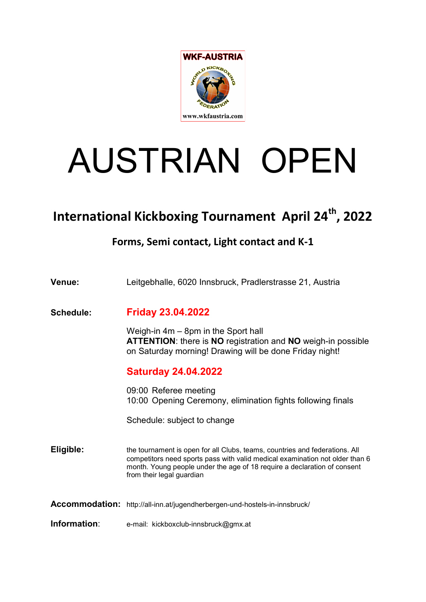

# AUSTRIAN OPEN

## International Kickboxing Tournament April 24<sup>th</sup>, 2022

### Forms, Semi contact, Light contact and K-1

| Venue:                | Leitgebhalle, 6020 Innsbruck, Pradlerstrasse 21, Austria                                                                                                                                                                                                             |
|-----------------------|----------------------------------------------------------------------------------------------------------------------------------------------------------------------------------------------------------------------------------------------------------------------|
| Schedule:             | <b>Friday 23.04.2022</b>                                                                                                                                                                                                                                             |
|                       | Weigh-in $4m - 8pm$ in the Sport hall<br>ATTENTION: there is NO registration and NO weigh-in possible<br>on Saturday morning! Drawing will be done Friday night!                                                                                                     |
|                       | <b>Saturday 24.04.2022</b>                                                                                                                                                                                                                                           |
|                       | 09:00 Referee meeting<br>10:00 Opening Ceremony, elimination fights following finals                                                                                                                                                                                 |
|                       | Schedule: subject to change                                                                                                                                                                                                                                          |
| Eligible:             | the tournament is open for all Clubs, teams, countries and federations. All<br>competitors need sports pass with valid medical examination not older than 6<br>month. Young people under the age of 18 require a declaration of consent<br>from their legal guardian |
| <b>Accommodation:</b> | http://all-inn.at/jugendherbergen-und-hostels-in-innsbruck/                                                                                                                                                                                                          |
| Information:          | e-mail: kickboxclub-innsbruck@gmx.at                                                                                                                                                                                                                                 |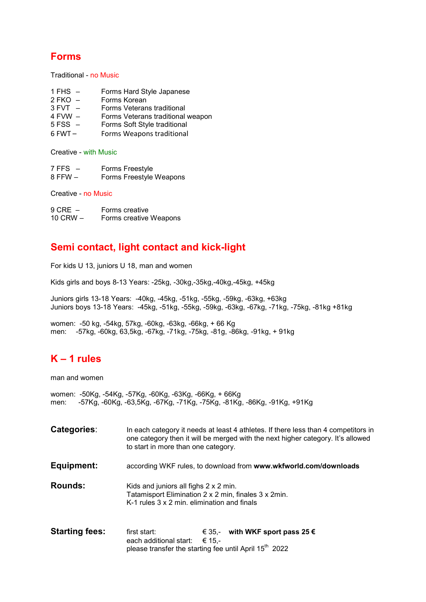#### Forms

Traditional - no Music

- 1 FHS Forms Hard Style Japanese
- 
- 2 FKO Forms Korean<br>3 FVT Forms Veteran Forms Veterans traditional
- 4 FVW Forms Veterans traditional weapon
- Forms Soft Style traditional
- 6 FWT Forms Weapons traditional

Creative - with Music

- 7 FFS Forms Freestyle
- 8 FFW Forms Freestyle Weapons

Creative - no Music

| $9$ CRE $-$ | Forms creative         |
|-------------|------------------------|
| 10 CRW $-$  | Forms creative Weapons |

#### Semi contact, light contact and kick-light

For kids U 13, juniors U 18, man and women

Kids girls and boys 8-13 Years: -25kg, -30kg,-35kg,-40kg,-45kg, +45kg

Juniors girls 13-18 Years: -40kg, -45kg, -51kg, -55kg, -59kg, -63kg, +63kg Juniors boys 13-18 Years: -45kg, -51kg, -55kg, -59kg, -63kg, -67kg, -71kg, -75kg, -81kg +81kg

women: -50 kg, -54kg, 57kg, -60kg, -63kg, -66kg, + 66 Kg men: -57kg, -60kg, 63,5kg, -67kg, -71kg, -75kg, -81g, -86kg, -91kg, + 91kg

#### K – 1 rules

man and women

women: -50Kg, -54Kg, -57Kg, -60Kg, -63Kg, -66Kg, + 66Kg men: -57Kg, -60Kg, -63,5Kg, -67Kg, -71Kg, -75Kg, -81Kg, -86Kg, -91Kg, +91Kg

- Categories: In each category it needs at least 4 athletes. If there less than 4 competitors in one category then it will be merged with the next higher category. It's allowed to start in more than one category.
- Equipment: according WKF rules, to download from www.wkfworld.com/downloads

Rounds: Kids and juniors all fighs 2 x 2 min. Tatamisport Elimination 2 x 2 min, finales 3 x 2min. K-1 rules 3 x 2 min. elimination and finals

**Starting fees:** first start:  $\epsilon$  35,- with WKF sport pass 25  $\epsilon$ each additional start:  $\epsilon$  15,please transfer the starting fee until April  $15<sup>th</sup>$  2022